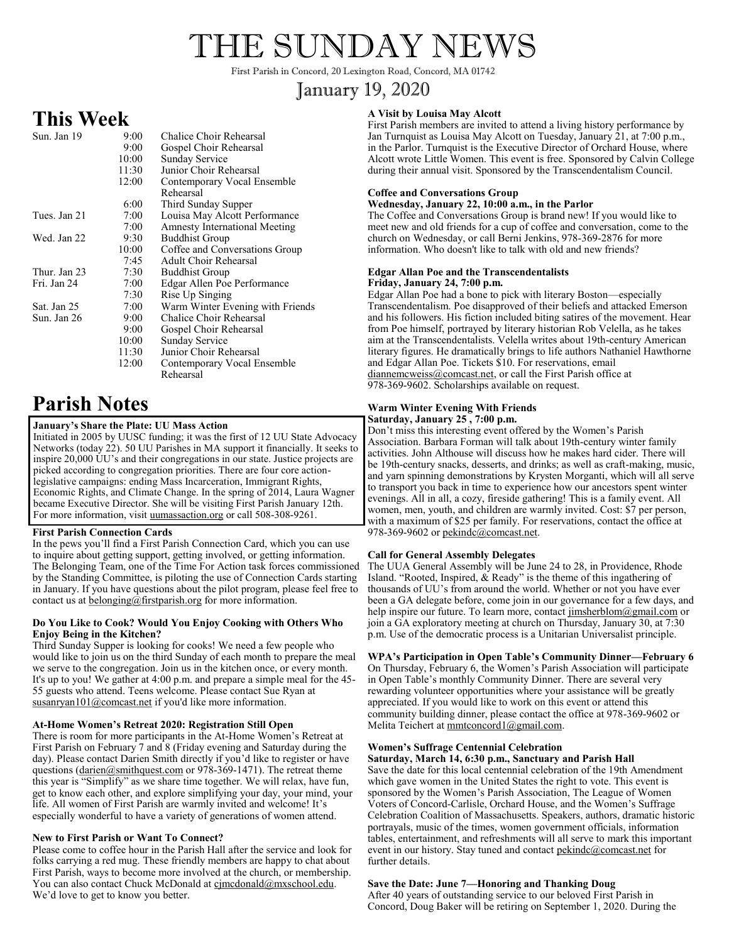# THE SUNDAY NEWS

First Parish in Concord, 20 Lexington Road, Concord, MA 01742

## January 19, 2020

## **This Week**

| Sun. Jan 19  | 9:00  | Chalice Choir Rehearsal          |
|--------------|-------|----------------------------------|
|              | 9:00  | Gospel Choir Rehearsal           |
|              | 10:00 | Sunday Service                   |
|              | 11:30 | Junior Choir Rehearsal           |
|              | 12:00 | Contemporary Vocal Ensemble      |
|              |       | Rehearsal                        |
|              | 6:00  | Third Sunday Supper              |
| Tues. Jan 21 | 7:00  | Louisa May Alcott Performance    |
|              | 7:00  | Amnesty International Meeting    |
| Wed. Jan 22  | 9:30  | <b>Buddhist Group</b>            |
|              | 10:00 | Coffee and Conversations Group   |
|              | 7:45  | <b>Adult Choir Rehearsal</b>     |
| Thur. Jan 23 | 7:30  | <b>Buddhist Group</b>            |
| Fri. Jan 24  | 7:00  | Edgar Allen Poe Performance      |
|              | 7:30  | Rise Up Singing                  |
| Sat. Jan 25  | 7:00  | Warm Winter Evening with Friends |
| Sun. Jan 26  | 9:00  | Chalice Choir Rehearsal          |
|              | 9:00  | Gospel Choir Rehearsal           |
|              | 10:00 | Sunday Service                   |
|              | 11:30 | Junior Choir Rehearsal           |
|              | 12:00 | Contemporary Vocal Ensemble      |
|              |       | Rehearsal                        |
|              |       |                                  |

## **Parish Notes**

#### **January's Share the Plate: UU Mass Action**

Initiated in 2005 by UUSC funding; it was the first of 12 UU State Advocacy Networks (today 22). 50 UU Parishes in MA support it financially. It seeks to inspire 20,000 UU's and their congregations in our state. Justice projects are picked according to congregation priorities. There are four core actionlegislative campaigns: ending Mass Incarceration, Immigrant Rights, Economic Rights, and Climate Change. In the spring of 2014, Laura Wagner became Executive Director. She will be visiting First Parish January 12th. For more information, visit uumassaction.org or call 508-308-9261.

#### **First Parish Connection Cards**

In the pews you'll find a First Parish Connection Card, which you can use to inquire about getting support, getting involved, or getting information. The Belonging Team, one of the Time For Action task forces commissioned by the Standing Committee, is piloting the use of Connection Cards starting in January. If you have questions about the pilot program, please feel free to contact us at belonging $@$ firstparish.org for more information.

#### **Do You Like to Cook? Would You Enjoy Cooking with Others Who Enjoy Being in the Kitchen?**

Third Sunday Supper is looking for cooks! We need a few people who would like to join us on the third Sunday of each month to prepare the meal we serve to the congregation. Join us in the kitchen once, or every month. It's up to you! We gather at 4:00 p.m. and prepare a simple meal for the 45- 55 guests who attend. Teens welcome. Please contact Sue Ryan at susanryan101@comcast.net if you'd like more information.

#### **At-Home Women's Retreat 2020: Registration Still Open**

There is room for more participants in the At-Home Women's Retreat at First Parish on February 7 and 8 (Friday evening and Saturday during the day). Please contact Darien Smith directly if you'd like to register or have questions (darien@smithquest.com or 978-369-1471). The retreat theme this year is "Simplify" as we share time together. We will relax, have fun, get to know each other, and explore simplifying your day, your mind, your life. All women of First Parish are warmly invited and welcome! It's especially wonderful to have a variety of generations of women attend.

#### **New to First Parish or Want To Connect?**

Please come to coffee hour in the Parish Hall after the service and look for folks carrying a red mug. These friendly members are happy to chat about First Parish, ways to become more involved at the church, or membership. You can also contact Chuck McDonald at cimcdonald@mxschool.edu. We'd love to get to know you better.

#### **A Visit by Louisa May Alcott**

First Parish members are invited to attend a living history performance by Jan Turnquist as Louisa May Alcott on Tuesday, January 21, at 7:00 p.m., in the Parlor. Turnquist is the Executive Director of Orchard House, where Alcott wrote Little Women. This event is free. Sponsored by Calvin College during their annual visit. Sponsored by the Transcendentalism Council.

#### **Coffee and Conversations Group**

#### **Wednesday, January 22, 10:00 a.m., in the Parlor**

The Coffee and Conversations Group is brand new! If you would like to meet new and old friends for a cup of coffee and conversation, come to the church on Wednesday, or call Berni Jenkins, 978-369-2876 for more information. Who doesn't like to talk with old and new friends?

#### **Edgar Allan Poe and the Transcendentalists Friday, January 24, 7:00 p.m.**

Edgar Allan Poe had a bone to pick with literary Boston—especially Transcendentalism. Poe disapproved of their beliefs and attacked Emerson and his followers. His fiction included biting satires of the movement. Hear from Poe himself, portrayed by literary historian Rob Velella, as he takes aim at the Transcendentalists. Velella writes about 19th-century American literary figures. He dramatically brings to life authors Nathaniel Hawthorne and Edgar Allan Poe. Tickets \$10. For reservations, email diannemcweiss@comcast.net, or call the First Parish office at 978-369-9602. Scholarships available on request.

#### **Warm Winter Evening With Friends Saturday, January 25 , 7:00 p.m.**

Don't miss this interesting event offered by the Women's Parish Association. Barbara Forman will talk about 19th-century winter family activities. John Althouse will discuss how he makes hard cider. There will be 19th-century snacks, desserts, and drinks; as well as craft-making, music, and yarn spinning demonstrations by Krysten Morganti, which will all serve to transport you back in time to experience how our ancestors spent winter evenings. All in all, a cozy, fireside gathering! This is a family event. All women, men, youth, and children are warmly invited. Cost: \$7 per person, with a maximum of \$25 per family. For reservations, contact the office at 978-369-9602 or pekindc@comcast.net.

#### **Call for General Assembly Delegates**

The UUA General Assembly will be June 24 to 28, in Providence, Rhode Island. "Rooted, Inspired, & Ready" is the theme of this ingathering of thousands of UU's from around the world. Whether or not you have ever been a GA delegate before, come join in our governance for a few days, and help inspire our future. To learn more, contact jimsherblom@gmail.com or join a GA exploratory meeting at church on Thursday, January 30, at 7:30 p.m. Use of the democratic process is a Unitarian Universalist principle.

**WPA's Participation in Open Table's Community Dinner—February 6**

On Thursday, February 6, the Women's Parish Association will participate in Open Table's monthly Community Dinner. There are several very rewarding volunteer opportunities where your assistance will be greatly appreciated. If you would like to work on this event or attend this community building dinner, please contact the office at 978-369-9602 or Melita Teichert at mmtconcord1@gmail.com.

#### **Women's Suffrage Centennial Celebration**

**Saturday, March 14, 6:30 p.m., Sanctuary and Parish Hall** Save the date for this local centennial celebration of the 19th Amendment which gave women in the United States the right to vote. This event is sponsored by the Women's Parish Association, The League of Women Voters of Concord-Carlisle, Orchard House, and the Women's Suffrage Celebration Coalition of Massachusetts. Speakers, authors, dramatic historic portrayals, music of the times, women government officials, information tables, entertainment, and refreshments will all serve to mark this important event in our history. Stay tuned and contact pekindc@comcast.net for further details.

#### **Save the Date: June 7—Honoring and Thanking Doug**

After 40 years of outstanding service to our beloved First Parish in Concord, Doug Baker will be retiring on September 1, 2020. During the